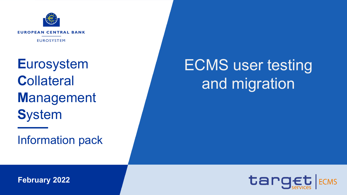

**Eurosystem Collateral Management System** 

**Information pack** 

# **ECMS** user testing and migration



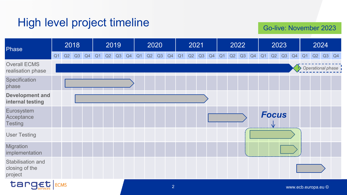#### High level project timeline

Go-live: November 2023

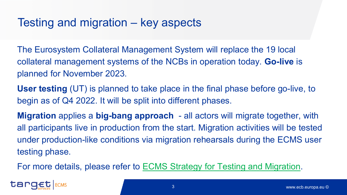#### Testing and migration – key aspects

The Eurosystem Collateral Management System will replace the 19 local collateral management systems of the NCBs in operation today. **Go-live** is planned for November 2023.

**User testing** (UT) is planned to take place in the final phase before go-live, to begin as of Q4 2022. It will be split into different phases.

**Migration** applies a **big-bang approach** - all actors will migrate together, with all participants live in production from the start. Migration activities will be tested under production-like conditions via migration rehearsals during the ECMS user testing phase.

For more details, please refer to [ECMS Strategy for Testing and Migration.](https://www.ecb.europa.eu/paym/target/ecms/profuse/shared/pdf/ecb.targetecms220228_Strategy_for_ECMS_Migration_and_Testing.en.pdf?8143acfb094ce243ceb5d2e2e7dab1a6)

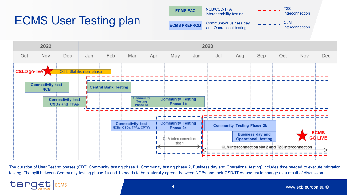

The duration of User Testing phases (CBT, Community testing phase 1, Community testing phase 2, Business day and Operational testing) includes time needed to execute migration testing. The split between Community testing phase 1a and 1b needs to be bilaterally agreed between NCBs and their CSD/TPAs and could change as a result of discussion.

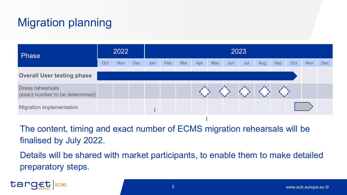### Migration planning

| Phase                                                      | 2022 |            |            | 2023 |     |     |     |     |     |     |     |     |     |            |     |  |
|------------------------------------------------------------|------|------------|------------|------|-----|-----|-----|-----|-----|-----|-----|-----|-----|------------|-----|--|
|                                                            | Oct  | <b>Nov</b> | <b>Dec</b> | Jan  | Feb | Mar | Apr | May | Jun | Jul | Aug | Sep | Oct | <b>Nov</b> | Dec |  |
| <b>Overall User testing phase</b>                          |      |            |            |      |     |     |     |     |     |     |     |     |     |            |     |  |
| <b>Dress rehearsals</b><br>(exact number to be determined) |      |            |            |      |     |     |     |     |     |     |     |     |     |            |     |  |
| <b>Migration implementation</b>                            |      |            |            |      |     |     |     |     |     |     |     |     |     |            |     |  |

The content, timing and exact number of ECMS migration rehearsals will be finalised by July 2022.

Details will be shared with market participants, to enable them to make detailed preparatory steps.